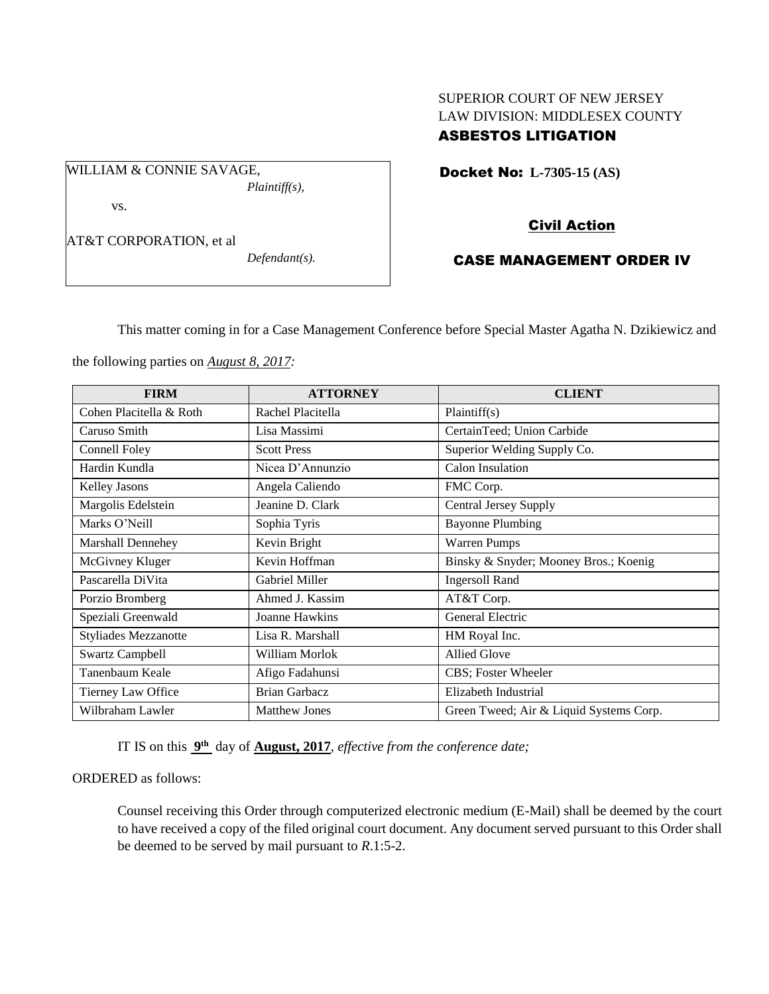# SUPERIOR COURT OF NEW JERSEY LAW DIVISION: MIDDLESEX COUNTY ASBESTOS LITIGATION

Docket No: **L-7305-15 (AS)** 

vs.

AT&T CORPORATION, et al

WILLIAM & CONNIE SAVAGE,

*Defendant(s).*

*Plaintiff(s),*

Civil Action

# CASE MANAGEMENT ORDER IV

This matter coming in for a Case Management Conference before Special Master Agatha N. Dzikiewicz and

the following parties on *August 8, 2017:*

| <b>FIRM</b>                 | <b>ATTORNEY</b>      | <b>CLIENT</b>                           |
|-----------------------------|----------------------|-----------------------------------------|
| Cohen Placitella & Roth     | Rachel Placitella    | Plaintiff(s)                            |
| Caruso Smith                | Lisa Massimi         | CertainTeed; Union Carbide              |
| Connell Foley               | <b>Scott Press</b>   | Superior Welding Supply Co.             |
| Hardin Kundla               | Nicea D'Annunzio     | <b>Calon Insulation</b>                 |
| <b>Kelley Jasons</b>        | Angela Caliendo      | FMC Corp.                               |
| Margolis Edelstein          | Jeanine D. Clark     | Central Jersey Supply                   |
| Marks O'Neill               | Sophia Tyris         | <b>Bayonne Plumbing</b>                 |
| Marshall Dennehey           | Kevin Bright         | <b>Warren Pumps</b>                     |
| McGivney Kluger             | Kevin Hoffman        | Binsky & Snyder; Mooney Bros.; Koenig   |
| Pascarella DiVita           | Gabriel Miller       | <b>Ingersoll Rand</b>                   |
| Porzio Bromberg             | Ahmed J. Kassim      | AT&T Corp.                              |
| Speziali Greenwald          | Joanne Hawkins       | General Electric                        |
| <b>Styliades Mezzanotte</b> | Lisa R. Marshall     | HM Royal Inc.                           |
| <b>Swartz Campbell</b>      | William Morlok       | <b>Allied Glove</b>                     |
| Tanenbaum Keale             | Afigo Fadahunsi      | CBS; Foster Wheeler                     |
| Tierney Law Office          | <b>Brian Garbacz</b> | Elizabeth Industrial                    |
| Wilbraham Lawler            | <b>Matthew Jones</b> | Green Tweed; Air & Liquid Systems Corp. |

IT IS on this **9 th** day of **August, 2017**, *effective from the conference date;*

ORDERED as follows:

Counsel receiving this Order through computerized electronic medium (E-Mail) shall be deemed by the court to have received a copy of the filed original court document. Any document served pursuant to this Order shall be deemed to be served by mail pursuant to *R*.1:5-2.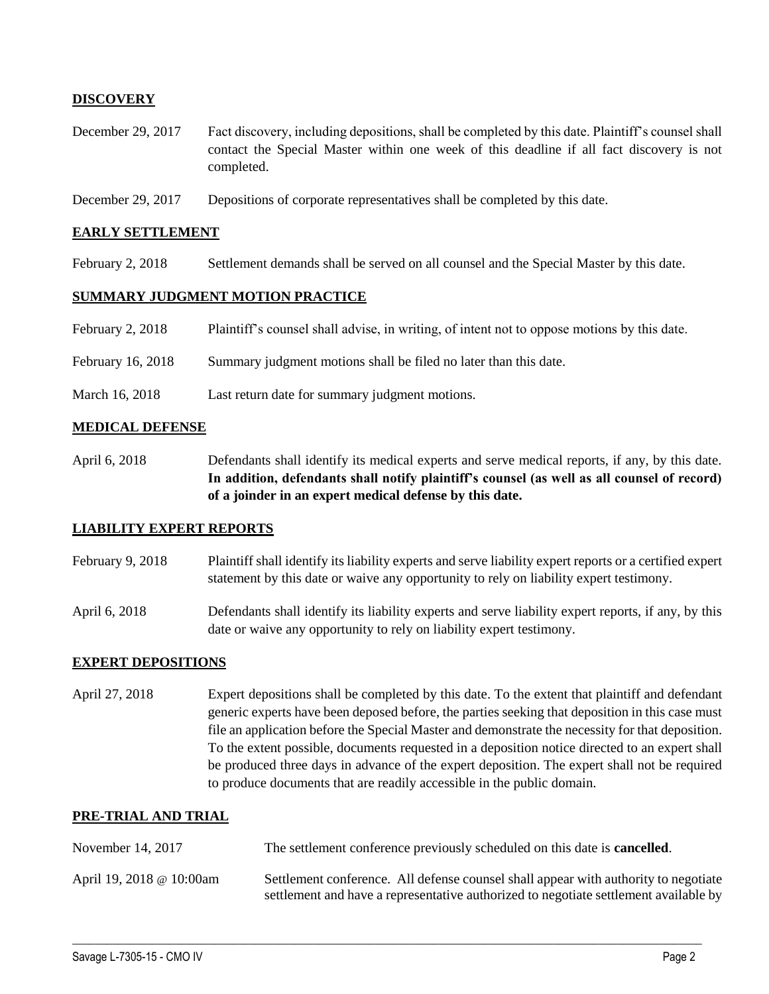# **DISCOVERY**

- December 29, 2017 Fact discovery, including depositions, shall be completed by this date. Plaintiff's counsel shall contact the Special Master within one week of this deadline if all fact discovery is not completed.
- December 29, 2017 Depositions of corporate representatives shall be completed by this date.

#### **EARLY SETTLEMENT**

February 2, 2018 Settlement demands shall be served on all counsel and the Special Master by this date.

### **SUMMARY JUDGMENT MOTION PRACTICE**

| February 2, 2018  | Plaintiff's counsel shall advise, in writing, of intent not to oppose motions by this date. |
|-------------------|---------------------------------------------------------------------------------------------|
| February 16, 2018 | Summary judgment motions shall be filed no later than this date.                            |
| March 16, 2018    | Last return date for summary judgment motions.                                              |

### **MEDICAL DEFENSE**

April 6, 2018 Defendants shall identify its medical experts and serve medical reports, if any, by this date. **In addition, defendants shall notify plaintiff's counsel (as well as all counsel of record) of a joinder in an expert medical defense by this date.**

### **LIABILITY EXPERT REPORTS**

- February 9, 2018 Plaintiff shall identify its liability experts and serve liability expert reports or a certified expert statement by this date or waive any opportunity to rely on liability expert testimony.
- April 6, 2018 Defendants shall identify its liability experts and serve liability expert reports, if any, by this date or waive any opportunity to rely on liability expert testimony.

### **EXPERT DEPOSITIONS**

April 27, 2018 Expert depositions shall be completed by this date. To the extent that plaintiff and defendant generic experts have been deposed before, the parties seeking that deposition in this case must file an application before the Special Master and demonstrate the necessity for that deposition. To the extent possible, documents requested in a deposition notice directed to an expert shall be produced three days in advance of the expert deposition. The expert shall not be required to produce documents that are readily accessible in the public domain.

#### **PRE-TRIAL AND TRIAL**

| November 14, 2017        | The settlement conference previously scheduled on this date is <b>cancelled</b> .                                                                                           |
|--------------------------|-----------------------------------------------------------------------------------------------------------------------------------------------------------------------------|
| April 19, 2018 @ 10:00am | Settlement conference. All defense counsel shall appear with authority to negotiate<br>settlement and have a representative authorized to negotiate settlement available by |

 $\_$  ,  $\_$  ,  $\_$  ,  $\_$  ,  $\_$  ,  $\_$  ,  $\_$  ,  $\_$  ,  $\_$  ,  $\_$  ,  $\_$  ,  $\_$  ,  $\_$  ,  $\_$  ,  $\_$  ,  $\_$  ,  $\_$  ,  $\_$  ,  $\_$  ,  $\_$  ,  $\_$  ,  $\_$  ,  $\_$  ,  $\_$  ,  $\_$  ,  $\_$  ,  $\_$  ,  $\_$  ,  $\_$  ,  $\_$  ,  $\_$  ,  $\_$  ,  $\_$  ,  $\_$  ,  $\_$  ,  $\_$  ,  $\_$  ,